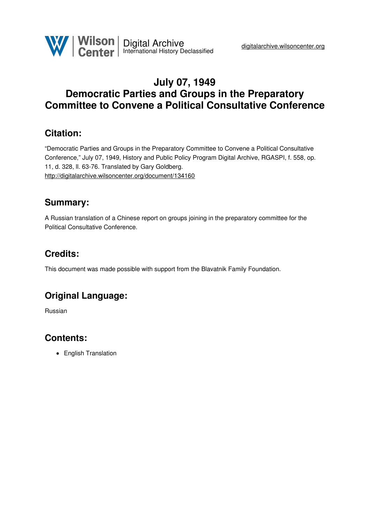

# **July 07, 1949 Democratic Parties and Groups in the Preparatory Committee to Convene a Political Consultative Conference**

### **Citation:**

"Democratic Parties and Groups in the Preparatory Committee to Convene a Political Consultative Conference," July 07, 1949, History and Public Policy Program Digital Archive, RGASPI, f. 558, op. 11, d. 328, ll. 63-76. Translated by Gary Goldberg. <http://digitalarchive.wilsoncenter.org/document/134160>

### **Summary:**

A Russian translation of a Chinese report on groups joining in the preparatory committee for the Political Consultative Conference.

# **Credits:**

This document was made possible with support from the Blavatnik Family Foundation.

# **Original Language:**

Russian

# **Contents:**

• English Translation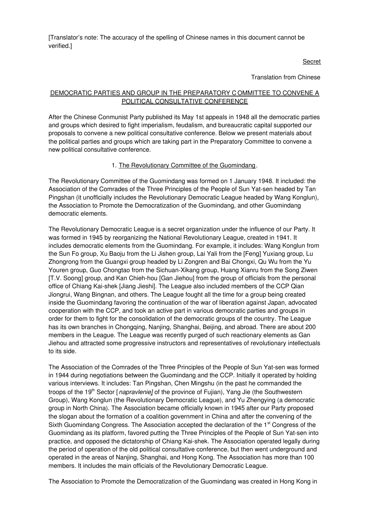[Translator's note: The accuracy of the spelling of Chinese names in this document cannot be verified.]

Secret

Translation from Chinese

### DEMOCRATIC PARTIES AND GROUP IN THE PREPARATORY C OMMITTEE TO CONVENE A POLITICAL CONSULTATIVE CONFERENCE

After the Chinese Conmunist Party published its May 1st appeals in 1948 all the democratic parties and groups which desired to fight imperialism, feudalism, and bureaucratic capital supported our proposals to convene a new political consultative conference. Below we present materials about the political parties and groups which are taking part in the Preparatory Committee to convene a new political consultative conference.

#### 1. The Revolutionary Committee of the Guomindang.

The Revolutionary Committee of the Guomindang was formed on 1 January 1948. It included: the Association of the Comrades of the Three Principles of the People of Sun Yat-sen headed by Tan Pingshan (it unofficially includes the Revolutionary Democratic League headed by Wang Konglun), the Association to Promote the Democratization of the Guomindang, and other Guomindang democratic elements.

The Revolutionary Democratic League is a secret organization under the influence of our Party. It was formed in 1945 by reorganizing the National Revolutionary League, created in 1941. It includes democratic elements from the Guomindang. For example, it includes: Wang Konglun from the Sun Fo group, Xu Baoju from the Li Jishen group, Lai Yali from the [Feng] Yuxiang group, Lu Zhongrong from the Guangxi group headed by Li Zongren and Bai Chongxi, Qu Wu from the Yu Youren group, Guo Chongtao from the Sichuan-Xikang group, Huang Xianru from the Song Ziwen [T.V. Soong] group, and Kan Chieh-hou [Gan Jiehou] from the group of officials from the personal office of Chiang Kai-shek [Jiang Jieshi]. The League also included members of the CCP Qian Jiongrui, Wang Bingnan, and others. The League fought all the time for a group being created inside the Guomindang favoring the continuation of the war of liberation against Japan, advocated cooperation with the CCP, and took an active part in various democratic parties and groups in order for them to fight for the consolidation of the democratic groups of the country. The League has its own branches in Chongqing, Nanjing, Shanghai, Beijing, and abroad. There are about 200 members in the League. The League was recently purged of such reactionary elements as Gan Jiehou and attracted some progressive instructors and representatives of revolutionary intellectuals to its side.

The Association of the Comrades of the Three Principles of the People of Sun Yat-sen was formed in 1944 during negotiations between the Guomindang and the CCP. Initially it operated by holding various interviews. It includes: Tan Pingshan, Chen Mingshu (in the past he commanded the troops of the 19<sup>th</sup> Sector [*napravlenie]* of the province of Fujian), Yang Jie (the Southwestern Group), Wang Konglun (the Revolutionary Democratic League), and Yu Zhengying (a democratic group in North China). The Association became officially known in 1945 after our Party proposed the slogan about the formation of a coalition government in China and after the convening of the Sixth Guomindang Congress. The Association accepted the declaration of the 1<sup>st</sup> Congress of the Guomindang as its platform, favored putting the Three Principles of the People of Sun Yat-sen into practice, and opposed the dictatorship of Chiang Kai-shek. The Association operated legally during the period of operation of the old political consultative conference, but then went underground and operated in the areas of Nanjing, Shanghai, and Hong Kong. The Association has more than 100 members. It includes the main officials of the Revolutionary Democratic League.

The Association to Promote the Democratization of the Guomindang was created in Hong Kong in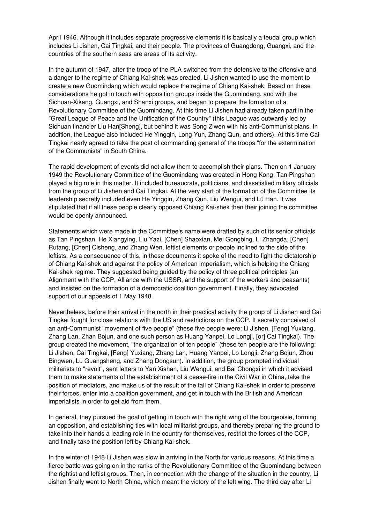April 1946. Although it includes separate progressive elements it is basically a feudal group which includes Li Jishen, Cai Tingkai, and their people. The provinces of Guangdong, Guangxi, and the countries of the southern seas are areas of its activity.

In the autumn of 1947, after the troop of the PLA switched from the defensive to the offensive and a danger to the regime of Chiang Kai-shek was created, Li Jishen wanted to use the moment to create a new Guomindang which would replace the regime of Chiang Kai-shek. Based on these considerations he got in touch with opposition groups inside the Guomindang, and with the Sichuan-Xikang, Guangxi, and Shanxi groups, and began to prepare the formation of a Revolutionary Committee of the Guomindang. At this time Li Jishen had already taken part in the "Great League of Peace and the Unification of the Country" (this League was outwardly led by Sichuan financier Liu Han[Sheng], but behind it was Song Ziwen with his anti-Communist plans. In addition, the League also included He Yingqin, Long Yun, Zhang Qun, and others). At this time Cai Tingkai nearly agreed to take the post of commanding general of the troops "for the extermination of the Communists" in South China.

The rapid development of events did not allow them to accomplish their plans. Then on 1 January 1949 the Revolutionary Committee of the Guomindang was created in Hong Kong; Tan Pingshan played a big role in this matter. It included bureaucrats, politicians, and dissatisfied military officials from the group of Li Jishen and Cai Tingkai. At the very start of the formation of the Committee its leadership secretly included even He Yingqin, Zhang Qun, Liu Wengui, and Lü Han. It was stipulated that if all these people clearly opposed Chiang Kai-shek then their joining the committee would be openly announced.

Statements which were made in the Committee's name were drafted by such of its senior officials as Tan Pingshan, He Xiangying, Liu Yazi, [Chen] Shaoxian, Mei Gongbing, Li Zhangda, [Chen] Rutang, [Chen] Cisheng, and Zhang Wen, leftist elements or people inclined to the side of the leftists. As a consequence of this, in these documents it spoke of the need to fight the dictatorship of Chiang Kai-shek and against the policy of American imperialism, which is helping the Chiang Kai-shek regime. They suggested being guided by the policy of three political principles (an Alignment with the CCP, Alliance with the USSR, and the support of the workers and peasants) and insisted on the formation of a democratic coalition government. Finally, they advocated support of our appeals of 1 May 1948.

Nevertheless, before their arrival in the north in their practical activity the group of Li Jishen and Cai Tingkai fought for close relations with the US and restrictions on the CCP. It secretly conceived of an anti-Communist "movement of five people" (these five people were: Li Jishen, [Feng] Yuxiang, Zhang Lan, Zhan Bojun, and one such person as Huang Yanpei, Lo Longji, [or] Cai Tingkai). The group created the movement, "the organization of ten people" (these ten people are the following: Li Jishen, Cai Tingkai, [Feng] Yuxiang, Zhang Lan, Huang Yanpei, Lo Longji, Zhang Bojun, Zhou Bingwen, Lu Guangsheng, and Zhang Dongsun). In addition, the group prompted individual militarists to "revolt", sent letters to Yan Xishan, Liu Wengui, and Bai Chongxi in which it advised them to make statements of the establishment of a cease-fire in the Civil War in China, take the position of mediators, and make us of the result of the fall of Chiang Kai-shek in order to preserve their forces, enter into a coalition government, and get in touch with the British and American imperialists in order to get aid from them.

In general, they pursued the goal of getting in touch with the right wing of the bourgeoisie, forming an opposition, and establishing ties with local militarist groups, and thereby preparing the ground to take into their hands a leading role in the country for themselves, restrict the forces of the CCP, and finally take the position left by Chiang Kai-shek.

In the winter of 1948 Li Jishen was slow in arriving in the North for various reasons. At this time a fierce battle was going on in the ranks of the Revolutionary Committee of the Guomindang between the rightist and leftist groups. Then, in connection with the change of the situation in the country, Li Jishen finally went to North China, which meant the victory of the left wing. The third day after Li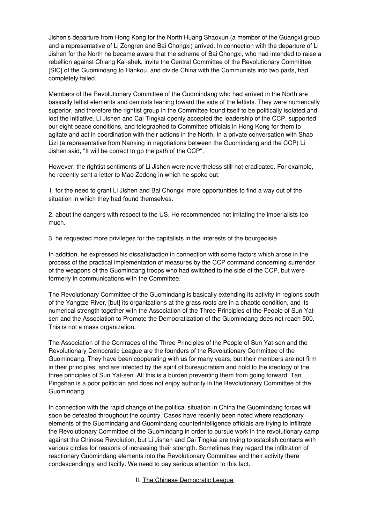Jishen's departure from Hong Kong for the North Huang Shaoxun (a member of the Guangxi group and a representative of Li Zongren and Bai Chongxi) arrived. In connection with the departure of Li Jishen for the North he became aware that the scheme of Bai Chongxi, who had intended to raise a rebellion against Chiang Kai-shek, invite the Central Committee of the Revolutionary Committee [SIC] of the Guomindang to Hankou, and divide China with the Communists into two parts, had completely failed.

Members of the Revolutionary Committee of the Guomindang who had arrived in the North are basically leftist elements and centrists leaning toward the side of the leftists. They were numerically superior, and therefore the rightist group in the Committee found itself to be politically isolated and lost the initiative. Li Jishen and Cai Tingkai openly accepted the leadership of the CCP, supported our eight peace conditions, and telegraphed to Committee officials in Hong Kong for them to agitate and act in coordination with their actions in the North. In a private conversation with Shao Lizi (a representative from Nanking in negotiations between the Guomindang and the CCP) Li Jishen said, "It will be correct to go the path of the CCP".

However, the rightist sentiments of Li Jishen were nevertheless still not eradicated. For example, he recently sent a letter to Mao Zedong in which he spoke out:

1. for the need to grant Li Jishen and Bai Chongxi more opportunities to find a way out of the situation in which they had found themselves.

2. about the dangers with respect to the US. He recommended not irritating the imperialists too much.

3. he requested more privileges for the capitalists in the interests of the bourgeoisie.

In addition, he expressed his dissatisfaction in connection with some factors which arose in the process of the practical implementation of measures by the CCP command concerning surrender of the weapons of the Guomindang troops who had switched to the side of the CCP, but were formerly in communications with the Committee.

The Revolutionary Committee of the Guomindang is basically extending its activity in regions south of the Yangtze River, [but] its organizations at the grass roots are in a chaotic condition, and its numerical strength together with the Association of the Three Principles of the People of Sun Yatsen and the Association to Promote the Democratization of the Guomindang does not reach 500. This is not a mass organization.

The Association of the Comrades of the Three Principles of the People of Sun Yat-sen and the Revolutionary Democratic League are the founders of the Revolutionary Committee of the Guomindang. They have been cooperating with us for many years, but their members are not firm in their principles, and are infected by the spirit of bureaucratism and hold to the ideology of the three principles of Sun Yat-sen. All this is a burden preventing them from going forward. Tan Pingshan is a poor politician and does not enjoy authority in the Revolutionary Committee of the Guomindang.

In connection with the rapid change of the political situation in China the Guomindang forces will soon be defeated throughout the country. Cases have recently been noted where reactionary elements of the Guomindang and Guomindang counterintelligence officials are trying to infiltrate the Revolutionary Committee of the Guomindang in order to pursue work in the revolutionary camp against the Chinese Revolution, but Li Jishen and Cai Tingkai are trying to establish contacts with various circles for reasons of increasing their strength. Sometimes they regard the infiltration of reactionary Guomindang elements into the Revolutionary Committee and their activity there condescendingly and tacitly. We need to pay serious attention to this fact.

II. The Chinese Democratic League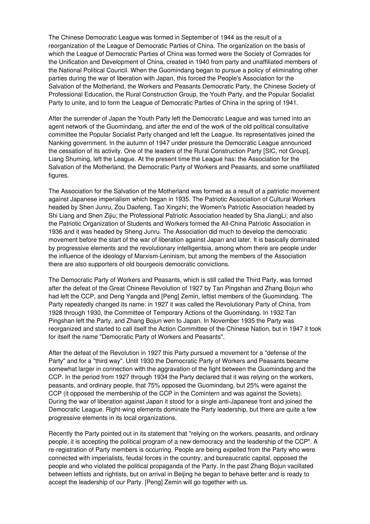The Chinese Democratic League was formed in September of 1944 as the result of a reorganization of the League of Democratic Parties of China. The organization on the basis of which the League of Democratic Parties of China was formed were the Society of Comrades for the Unification and Development of China, created in 1940 from party and unaffiliated members of the National Political Council. When the Guomindang began to pursue a policy of eliminating other parties during the war of liberation with Japan, this forced the People's Association for the Salvation of the Motherland, the Workers and Peasants Democratic Party, the Chinese Society of Professional Education, the Rural Construction Group, the Youth Party, and the Popular Socialist Party to unite, and to form the League of Democratic Parties of China in the spring of 1941.

After the surrender of Japan the Youth Party left the Democratic League and was turned into an agent network of the Guomindang, and after the end of the work of the old political consultative committee the Popular Socialist Party changed and left the League. Its representatives joined the Nanking government. In the autumn of 1947 under pressure the Democratic League announced the cessation of its activity. One of the leaders of the Rural Construction Party [SIC, not Group], Liang Shuming, left the League. At the present time the League has: the Association for the Salvation of the Motherland, the Democratic Party of Workers and Peasants, and some unaffiliated figures.

The Association for the Salvation of the Motherland was formed as a result of a patriotic movement against Japanese imperialism which began in 1935. The Patriotic Association of Cultural Workers headed by Shen Junru, Zou Daofeng, Tao Xingzhi; the Women's Patriotic Association headed by Shi Liang and Shen Zijiu; the Professional Patriotic Association headed by Sha JiangLi; and also the Patriotic Organization of Students and Workers formed the All-China Patriotic Association in 1936 and it was headed by Sheng Junru. The Association did much to develop the democratic movement before the start of the war of liberation against Japan and later. It is basically dominated by progressive elements and the revolutionary intelligentsia, among whom there are people under the influence of the ideology of Marxism-Leninism, but among the members of the Association there are also supporters of old bourgeois democratic convictions.

The Democratic Party of Workers and Peasants, which is still called the Third Party, was formed after the defeat of the Great Chinese Revolution of 1927 by Tan Pingshan and Zhang Bojun who had left the CCP, and Deng Yangda and [Peng] Zemin, leftist members of the Guomindang. The Party repeatedly changed its name: in 1927 it was called the Revolutionary Party of China, from 1928 through 1930, the Committee of Temporary Actions of the Guomindang. In 1932 Tan Pingshan left the Party, and Zhang Bojun wen to Japan. In November 1935 the Party was reorganized and started to call itself the Action Committee of the Chinese Nation, but in 1947 it took for itself the name "Democratic Party of Workers and Peasants".

After the defeat of the Revolution in 1927 this Party pursued a movement for a "defense of the Party" and for a "third way". Until 1930 the Democratic Party of Workers and Peasants became somewhat larger in connection with the aggravation of the fight between the Guomindang and the CCP. In the period from 1927 through 1934 the Party declared that it was relying on the workers, peasants, and ordinary people, that 75% opposed the Guomindang, but 25% were against the CCP (it opposed the membership of the CCP in the Comintern and was against the Soviets). During the war of liberation against Japan it stood for a single anti-Japanese front and joined the Democratic League. Right-wing elements dominate the Party leadership, but there are quite a few progressive elements in its local organizations.

Recently the Party pointed out in its statement that "relying on the workers, peasants, and ordinary people, it is accepting the political program of a new democracy and the leadership of the CCP". A re-registration of Party members is occurring. People are being expelled from the Party who were connected with imperialists, feudal forces in the country, and bureaucratic capital, opposed the people and who violated the political propaganda of the Party. In the past Zhang Bojun vacillated between leftists and rightists, but on arrival in Beijing he began to behave better and is ready to accept the leadership of our Party. [Peng] Zemin will go together with us.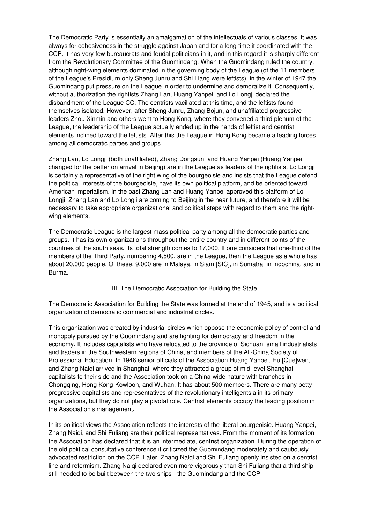The Democratic Party is essentially an amalgamation of the intellectuals of various classes. It was always for cohesiveness in the struggle against Japan and for a long time it coordinated with the CCP. It has very few bureaucrats and feudal politicians in it, and in this regard it is sharply different from the Revolutionary Committee of the Guomindang. When the Guomindang ruled the country, although right-wing elements dominated in the governing body of the League (of the 11 members of the League's Presidium only Sheng Junru and Shi Liang were leftists), in the winter of 1947 the Guomindang put pressure on the League in order to undermine and demoralize it. Consequently, without authorization the rightists Zhang Lan, Huang Yanpei, and Lo Longji declared the disbandment of the League CC. The centrists vacillated at this time, and the leftists found themselves isolated. However, after Sheng Junru, Zhang Bojun, and unaffiliated progressive leaders Zhou Xinmin and others went to Hong Kong, where they convened a third plenum of the League, the leadership of the League actually ended up in the hands of leftist and centrist elements inclined toward the leftists. After this the League in Hong Kong became a leading forces among all democratic parties and groups.

Zhang Lan, Lo Longji (both unaffiliated), Zhang Dongsun, and Huang Yanpei (Huang Yanpei changed for the better on arrival in Beijing) are in the League as leaders of the rightists. Lo Longji is certainly a representative of the right wing of the bourgeoisie and insists that the League defend the political interests of the bourgeoisie, have its own political platform, and be oriented toward American imperialism. In the past Zhang Lan and Huang Yanpei approved this platform of Lo Longji. Zhang Lan and Lo Longji are coming to Beijing in the near future, and therefore it will be necessary to take appropriate organizational and political steps with regard to them and the rightwing elements.

The Democratic League is the largest mass political party among all the democratic parties and groups. It has its own organizations throughout the entire country and in different points of the countries of the south seas. Its total strength comes to 17,000. If one considers that one-third of the members of the Third Party, numbering 4,500, are in the League, then the League as a whole has about 20,000 people. Of these, 9,000 are in Malaya, in Siam [SIC], in Sumatra, in Indochina, and in Burma.

#### III. The Democratic Association for Building the State

The Democratic Association for Building the State was formed at the end of 1945, and is a political organization of democratic commercial and industrial circles.

This organization was created by industrial circles which oppose the economic policy of control and monopoly pursued by the Guomindang and are fighting for democracy and freedom in the economy. It includes capitalists who have relocated to the province of Sichuan, small industrialists and traders in the Southwestern regions of China, and members of the All-China Society of Professional Education. In 1946 senior officials of the Association Huang Yanpei, Hu [Que]wen, and Zhang Naiqi arrived in Shanghai, where they attracted a group of mid-level Shanghai capitalists to their side and the Association took on a China-wide nature with branches in Chongqing, Hong Kong-Kowloon, and Wuhan. It has about 500 members. There are many petty progressive capitalists and representatives of the revolutionary intelligentsia in its primary organizations, but they do not play a pivotal role. Centrist elements occupy the leading position in the Association's management.

In its political views the Association reflects the interests of the liberal bourgeoisie. Huang Yanpei, Zhang Naiqi, and Shi Fuliang are their political representatives. From the moment of its formation the Association has declared that it is an intermediate, centrist organization. During the operation of the old political consultative conference it criticized the Guomindang moderately and cautiously advocated restriction on the CCP. Later, Zhang Naiqi and Shi Fuliang openly insisted on a centrist line and reformism. Zhang Naiqi declared even more vigorously than Shi Fuliang that a third ship still needed to be built between the two ships - the Guomindang and the CCP.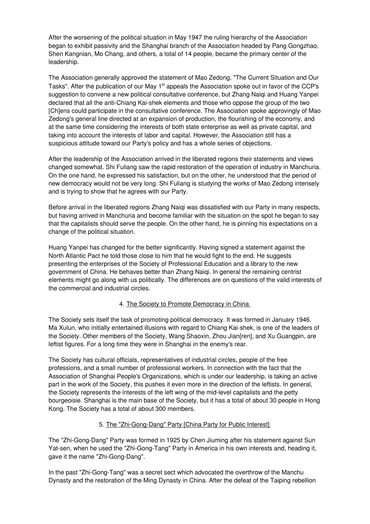After the worsening of the political situation in May 1947 the ruling hierarchy of the Association began to exhibit passivity and the Shanghai branch of the Association headed by Pang Gongzhao, Shen Kangnian, Mo Chang, and others, a total of 14 people, became the primary center of the leadership.

The Association generally approved the statement of Mao Zedong, "The Current Situation and Our Tasks". After the publication of our May 1<sup>st</sup> appeals the Association spoke out in favor of the CCP's suggestion to convene a new political consultative conference, but Zhang Naiqi and Huang Yanpei declared that all the anti-Chiang Kai-shek elements and those who oppose the group of the two [Ch]ens could participate in the consultative conference. The Association spoke approvingly of Mao Zedong's general line directed at an expansion of production, the flourishing of the economy, and at the same time considering the interests of both state enterprise as well as private capital, and taking into account the interests of labor and capital. However, the Association still has a suspicious attitude toward our Party's policy and has a whole series of objections.

After the leadership of the Association arrived in the liberated regions their statements and views changed somewhat. Shi Fuliang saw the rapid restoration of the operation of industry in Manchuria. On the one hand, he expressed his satisfaction, but on the other, he understood that the period of new democracy would not be very long. Shi Fuliang is studying the works of Mao Zedong intensely and is trying to show that he agrees with our Party.

Before arrival in the liberated regions Zhang Naiqi was dissatisfied with our Party in many respects, but having arrived in Manchuria and become familiar with the situation on the spot he began to say that the capitalists should serve the people. On the other hand, he is pinning his expectations on a change of the political situation.

Huang Yanpei has changed for the better significantly. Having signed a statement against the North Atlantic Pact he told those close to him that he would fight to the end. He suggests presenting the enterprises of the Society of Professional Education and a library to the new government of China. He behaves better than Zhang Naiqi. In general the remaining centrist elements might go along with us politically. The differences are on questions of the valid interests of the commercial and industrial circles.

### 4. The Society to Promote Democracy in China

The Society sets itself the task of promoting political democracy. It was formed in January 1946. Ma Xulun, who initially entertained illusions with regard to Chiang Kai-shek, is one of the leaders of the Society. Other members of the Society, Wang Shaoxin, Zhou Jian[ren], and Xu Guangpin, are leftist figures. For a long time they were in Shanghai in the enemy's rear.

The Society has cultural officials, representatives of industrial circles, people of the free professions, and a small number of professional workers. In connection with the fact that the Association of Shanghai People's Organizations, which is under our leadership, is taking an active part in the work of the Society, this pushes it even more in the direction of the leftists. In general, the Society represents the interests of the left wing of the mid-level capitalists and the petty bourgeoisie. Shanghai is the main base of the Society, but it has a total of about 30 people in Hong Kong. The Society has a total of about 300 members.

### 5. The "Zhi-Gong-Dang" Party [China Party for Public Interest]

The "Zhi-Gong-Dang" Party was formed in 1925 by Chen Jiuming after his statement against Sun Yat-sen, when he used the "Zhi-Gong-Tang" Party in America in his own interests and, heading it, gave it the name "Zhi-Gong-Dang".

In the past "Zhi-Gong-Tang" was a secret sect which advocated the overthrow of the Manchu Dynasty and the restoration of the Ming Dynasty in China. After the defeat of the Taiping rebellion